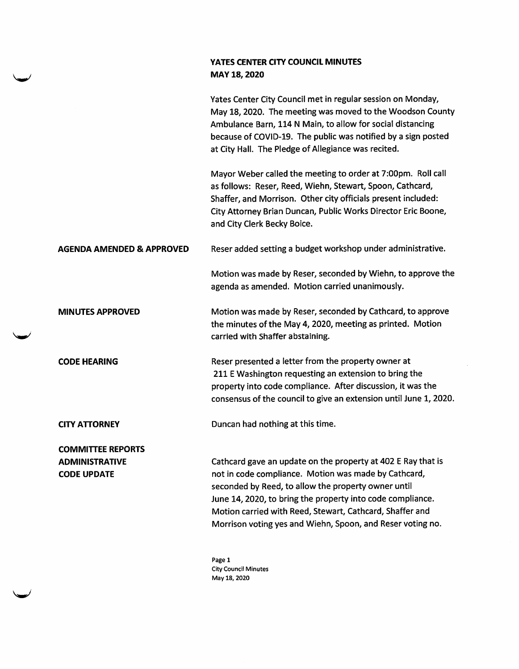## YATES CENTER CITY COUNCIL MINUTES MAY 18, 2020

Yates Center City Council met in regular session on Monday, May 18, 2020. The meeting was moved to the Woodson County Ambulance Barn, 114 N Main, to allow for social distancing because of COVID-19. The public was notified by a sign posted at City Hall. The Pledge of Allegiance was recited.

Mayor Weber called the meeting to order at 7:00pm. Roll call as follows: Reser, Reed, Wiehn, Stewart, Spoon, Cathcard, Shaffer, and Morrison. Other city officials present included: City Attorney Brian Duncan, Public Works Director Eric Boone, and City Clerk Becky Boice.

AGENDA AMENDED & APPROVED Reser added setting a budget workshop under administrative.

Motion was made by Reser, seconded by Wiehn, to approve the agenda as amended. Motion carried unanimously.

MINUTES APPROVED Motion was made by Reser, seconded by Cathcard, to approve the minutes of the May 4, 2020, meeting as printed. Motion carried with Shaffer abstaining.

CODE HEARING Reser presented a letter from the property owner at 211 E Washington requesting an extension to bring the property into code compliance. After discussion, it was the consensus of the council to give an extension until June 1, 2020.

CITY ATTORNEY Duncan had nothing at this time.

COMMITTEE REPORTS ADMINISTRATIVE CODE UPDATE

Cathcard gave an update on the property at 402 E Ray that is not in code compliance. Motion was made by Cathcard, seconded by Reed, to allow the property owner until June 14,2020, to bring the property into code compliance. Motion carried with Reed, Stewart, Cathcard, Shaffer and Morrison voting yes and Wiehn, Spoon, and Reser voting no.

Page 1 City Council Minutes May 18, 2020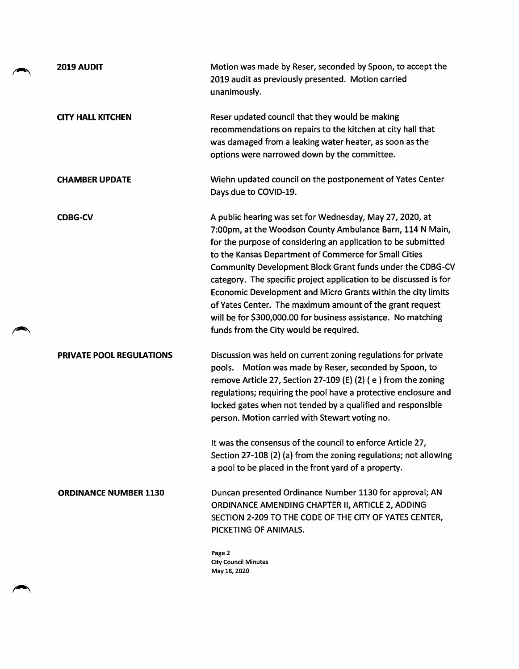| 2019 AUDIT                   | Motion was made by Reser, seconded by Spoon, to accept the<br>2019 audit as previously presented. Motion carried<br>unanimously.                                                                                                                                                                                                                                                                                                                                                                                                                                                                                         |
|------------------------------|--------------------------------------------------------------------------------------------------------------------------------------------------------------------------------------------------------------------------------------------------------------------------------------------------------------------------------------------------------------------------------------------------------------------------------------------------------------------------------------------------------------------------------------------------------------------------------------------------------------------------|
| <b>CITY HALL KITCHEN</b>     | Reser updated council that they would be making<br>recommendations on repairs to the kitchen at city hall that<br>was damaged from a leaking water heater, as soon as the<br>options were narrowed down by the committee.                                                                                                                                                                                                                                                                                                                                                                                                |
| <b>CHAMBER UPDATE</b>        | Wiehn updated council on the postponement of Yates Center<br>Days due to COVID-19.                                                                                                                                                                                                                                                                                                                                                                                                                                                                                                                                       |
| <b>CDBG-CV</b>               | A public hearing was set for Wednesday, May 27, 2020, at<br>7:00pm, at the Woodson County Ambulance Barn, 114 N Main,<br>for the purpose of considering an application to be submitted<br>to the Kansas Department of Commerce for Small Cities<br>Community Development Block Grant funds under the CDBG-CV<br>category. The specific project application to be discussed is for<br>Economic Development and Micro Grants within the city limits<br>of Yates Center. The maximum amount of the grant request<br>will be for \$300,000.00 for business assistance. No matching<br>funds from the City would be required. |
| PRIVATE POOL REGULATIONS     | Discussion was held on current zoning regulations for private<br>pools. Motion was made by Reser, seconded by Spoon, to<br>remove Article 27, Section 27-109 (E) (2) (e) from the zoning<br>regulations; requiring the pool have a protective enclosure and<br>locked gates when not tended by a qualified and responsible<br>person. Motion carried with Stewart voting no.<br>It was the consensus of the council to enforce Article 27,<br>Section 27-108 (2) (a) from the zoning regulations; not allowing<br>a pool to be placed in the front yard of a property.                                                   |
| <b>ORDINANCE NUMBER 1130</b> | Duncan presented Ordinance Number 1130 for approval; AN<br>ORDINANCE AMENDING CHAPTER II, ARTICLE 2, ADDING<br>SECTION 2-209 TO THE CODE OF THE CITY OF YATES CENTER,<br>PICKETING OF ANIMALS.                                                                                                                                                                                                                                                                                                                                                                                                                           |
|                              | Page 2<br><b>City Council Minutes</b><br>May 18, 2020                                                                                                                                                                                                                                                                                                                                                                                                                                                                                                                                                                    |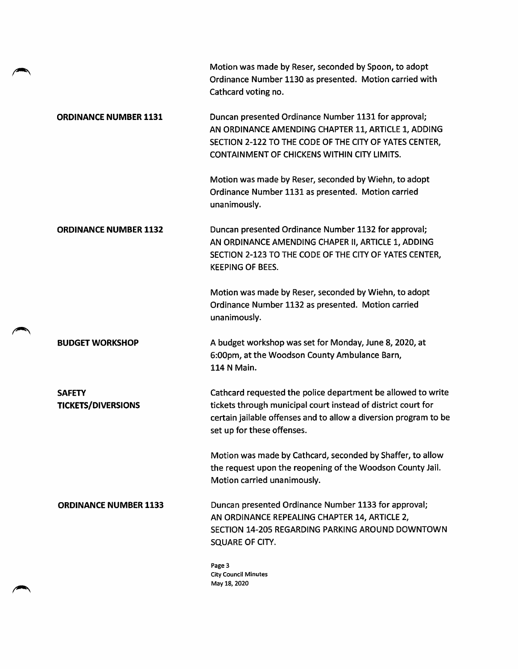|                                            | Motion was made by Reser, seconded by Spoon, to adopt<br>Ordinance Number 1130 as presented. Motion carried with<br>Cathcard voting no.                                                                                         |
|--------------------------------------------|---------------------------------------------------------------------------------------------------------------------------------------------------------------------------------------------------------------------------------|
| <b>ORDINANCE NUMBER 1131</b>               | Duncan presented Ordinance Number 1131 for approval;<br>AN ORDINANCE AMENDING CHAPTER 11, ARTICLE 1, ADDING<br>SECTION 2-122 TO THE CODE OF THE CITY OF YATES CENTER,<br><b>CONTAINMENT OF CHICKENS WITHIN CITY LIMITS.</b>     |
|                                            | Motion was made by Reser, seconded by Wiehn, to adopt<br>Ordinance Number 1131 as presented. Motion carried<br>unanimously.                                                                                                     |
| <b>ORDINANCE NUMBER 1132</b>               | Duncan presented Ordinance Number 1132 for approval;<br>AN ORDINANCE AMENDING CHAPER II, ARTICLE 1, ADDING<br>SECTION 2-123 TO THE CODE OF THE CITY OF YATES CENTER,<br><b>KEEPING OF BEES.</b>                                 |
|                                            | Motion was made by Reser, seconded by Wiehn, to adopt<br>Ordinance Number 1132 as presented. Motion carried<br>unanimously.                                                                                                     |
| <b>BUDGET WORKSHOP</b>                     | A budget workshop was set for Monday, June 8, 2020, at<br>6:00pm, at the Woodson County Ambulance Barn,<br>114 N Main.                                                                                                          |
| <b>SAFETY</b><br><b>TICKETS/DIVERSIONS</b> | Cathcard requested the police department be allowed to write<br>tickets through municipal court instead of district court for<br>certain jailable offenses and to allow a diversion program to be<br>set up for these offenses. |
|                                            | Motion was made by Cathcard, seconded by Shaffer, to allow<br>the request upon the reopening of the Woodson County Jail.<br>Motion carried unanimously.                                                                         |
| <b>ORDINANCE NUMBER 1133</b>               | Duncan presented Ordinance Number 1133 for approval;<br>AN ORDINANCE REPEALING CHAPTER 14, ARTICLE 2,<br>SECTION 14-205 REGARDING PARKING AROUND DOWNTOWN<br>SQUARE OF CITY.                                                    |
|                                            | Page 3<br><b>City Council Minutes</b><br>May 18, 2020                                                                                                                                                                           |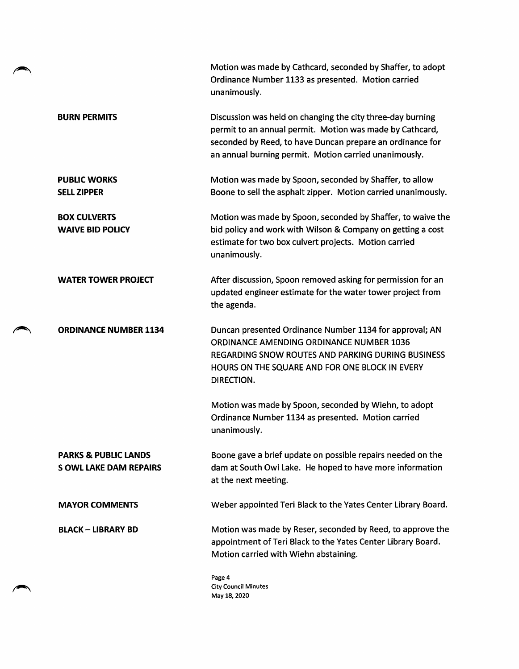|                                                                  | Motion was made by Cathcard, seconded by Shaffer, to adopt<br>Ordinance Number 1133 as presented. Motion carried<br>unanimously.                                                                                                             |
|------------------------------------------------------------------|----------------------------------------------------------------------------------------------------------------------------------------------------------------------------------------------------------------------------------------------|
| <b>BURN PERMITS</b>                                              | Discussion was held on changing the city three-day burning<br>permit to an annual permit. Motion was made by Cathcard,<br>seconded by Reed, to have Duncan prepare an ordinance for<br>an annual burning permit. Motion carried unanimously. |
| <b>PUBLIC WORKS</b><br><b>SELL ZIPPER</b>                        | Motion was made by Spoon, seconded by Shaffer, to allow<br>Boone to sell the asphalt zipper. Motion carried unanimously.                                                                                                                     |
| <b>BOX CULVERTS</b><br><b>WAIVE BID POLICY</b>                   | Motion was made by Spoon, seconded by Shaffer, to waive the<br>bid policy and work with Wilson & Company on getting a cost<br>estimate for two box culvert projects. Motion carried<br>unanimously.                                          |
| <b>WATER TOWER PROJECT</b>                                       | After discussion, Spoon removed asking for permission for an<br>updated engineer estimate for the water tower project from<br>the agenda.                                                                                                    |
| <b>ORDINANCE NUMBER 1134</b>                                     | Duncan presented Ordinance Number 1134 for approval; AN<br>ORDINANCE AMENDING ORDINANCE NUMBER 1036<br>REGARDING SNOW ROUTES AND PARKING DURING BUSINESS<br>HOURS ON THE SQUARE AND FOR ONE BLOCK IN EVERY<br>DIRECTION.                     |
|                                                                  | Motion was made by Spoon, seconded by Wiehn, to adopt<br>Ordinance Number 1134 as presented. Motion carried<br>unanimously.                                                                                                                  |
| <b>PARKS &amp; PUBLIC LANDS</b><br><b>S OWL LAKE DAM REPAIRS</b> | Boone gave a brief update on possible repairs needed on the<br>dam at South Owl Lake. He hoped to have more information<br>at the next meeting.                                                                                              |
| <b>MAYOR COMMENTS</b>                                            | Weber appointed Teri Black to the Yates Center Library Board.                                                                                                                                                                                |
| <b>BLACK - LIBRARY BD</b>                                        | Motion was made by Reser, seconded by Reed, to approve the<br>appointment of Teri Black to the Yates Center Library Board.<br>Motion carried with Wiehn abstaining.                                                                          |
|                                                                  | Page 4<br><b>City Council Minutes</b><br>May 18, 2020                                                                                                                                                                                        |